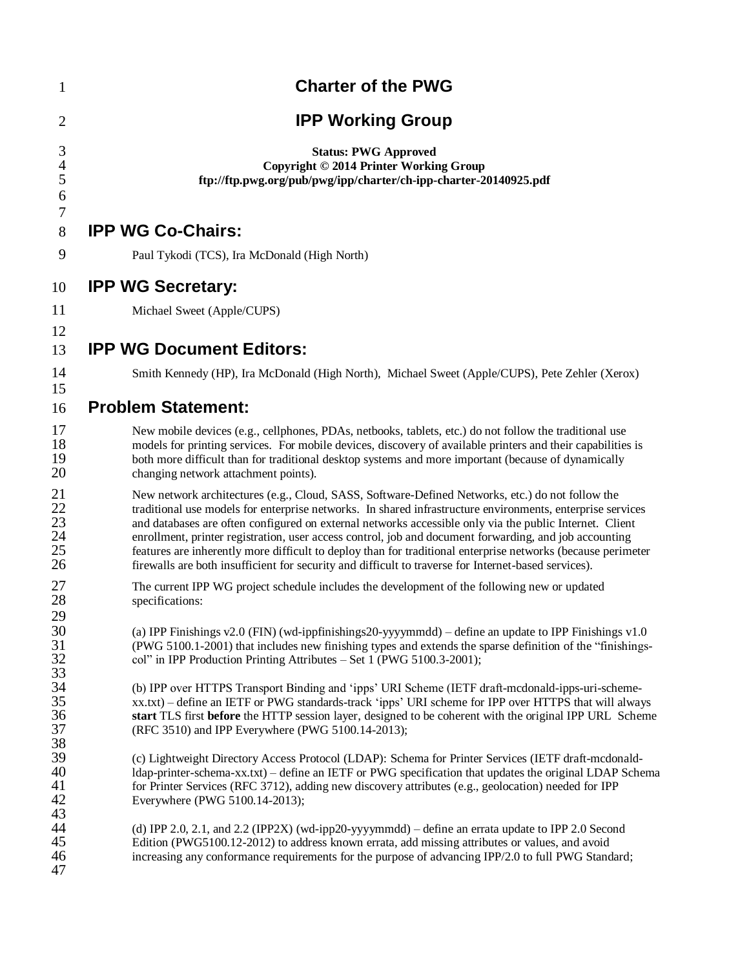| $\mathbf{1}$                            | <b>Charter of the PWG</b>                                                                                                                                                                                                                                                                                                                                                                                                                                                                                                                                                                                                                                   |
|-----------------------------------------|-------------------------------------------------------------------------------------------------------------------------------------------------------------------------------------------------------------------------------------------------------------------------------------------------------------------------------------------------------------------------------------------------------------------------------------------------------------------------------------------------------------------------------------------------------------------------------------------------------------------------------------------------------------|
| $\overline{2}$                          | <b>IPP Working Group</b>                                                                                                                                                                                                                                                                                                                                                                                                                                                                                                                                                                                                                                    |
| 3<br>$\overline{4}$<br>5<br>6           | <b>Status: PWG Approved</b><br>Copyright © 2014 Printer Working Group<br>ftp://ftp.pwg.org/pub/pwg/ipp/charter/ch-ipp-charter-20140925.pdf                                                                                                                                                                                                                                                                                                                                                                                                                                                                                                                  |
| 7<br>8                                  | <b>IPP WG Co-Chairs:</b>                                                                                                                                                                                                                                                                                                                                                                                                                                                                                                                                                                                                                                    |
| 9                                       | Paul Tykodi (TCS), Ira McDonald (High North)                                                                                                                                                                                                                                                                                                                                                                                                                                                                                                                                                                                                                |
| 10                                      | <b>IPP WG Secretary:</b>                                                                                                                                                                                                                                                                                                                                                                                                                                                                                                                                                                                                                                    |
| 11                                      | Michael Sweet (Apple/CUPS)                                                                                                                                                                                                                                                                                                                                                                                                                                                                                                                                                                                                                                  |
| 12<br>13                                | <b>IPP WG Document Editors:</b>                                                                                                                                                                                                                                                                                                                                                                                                                                                                                                                                                                                                                             |
| 14                                      | Smith Kennedy (HP), Ira McDonald (High North), Michael Sweet (Apple/CUPS), Pete Zehler (Xerox)                                                                                                                                                                                                                                                                                                                                                                                                                                                                                                                                                              |
| 15<br>16                                | <b>Problem Statement:</b>                                                                                                                                                                                                                                                                                                                                                                                                                                                                                                                                                                                                                                   |
| 17<br>18<br>19<br>20                    | New mobile devices (e.g., cellphones, PDAs, netbooks, tablets, etc.) do not follow the traditional use<br>models for printing services. For mobile devices, discovery of available printers and their capabilities is<br>both more difficult than for traditional desktop systems and more important (because of dynamically<br>changing network attachment points).                                                                                                                                                                                                                                                                                        |
| 21<br>$\frac{22}{23}$<br>24<br>25<br>26 | New network architectures (e.g., Cloud, SASS, Software-Defined Networks, etc.) do not follow the<br>traditional use models for enterprise networks. In shared infrastructure environments, enterprise services<br>and databases are often configured on external networks accessible only via the public Internet. Client<br>enrollment, printer registration, user access control, job and document forwarding, and job accounting<br>features are inherently more difficult to deploy than for traditional enterprise networks (because perimeter<br>firewalls are both insufficient for security and difficult to traverse for Internet-based services). |
| 27<br>28                                | The current IPP WG project schedule includes the development of the following new or updated<br>specifications:                                                                                                                                                                                                                                                                                                                                                                                                                                                                                                                                             |
| 29<br>30<br>31<br>32<br>33              | (a) IPP Finishings $v2.0$ (FIN) (wd-ippfinishings $20$ -yyyymmdd) – define an update to IPP Finishings $v1.0$<br>(PWG 5100.1-2001) that includes new finishing types and extends the sparse definition of the "finishings-<br>col" in IPP Production Printing Attributes - Set 1 (PWG 5100.3-2001);                                                                                                                                                                                                                                                                                                                                                         |
| 34<br>35<br>36<br>37<br>38              | (b) IPP over HTTPS Transport Binding and 'ipps' URI Scheme (IETF draft-mcdonald-ipps-uri-scheme-<br>xx.txt) – define an IETF or PWG standards-track 'ipps' URI scheme for IPP over HTTPS that will always<br>start TLS first before the HTTP session layer, designed to be coherent with the original IPP URL Scheme<br>(RFC 3510) and IPP Everywhere (PWG 5100.14-2013);                                                                                                                                                                                                                                                                                   |
| 39<br>40<br>41<br>42                    | (c) Lightweight Directory Access Protocol (LDAP): Schema for Printer Services (IETF draft-mcdonald-<br>Idap-printer-schema-xx.txt) – define an IETF or PWG specification that updates the original LDAP Schema<br>for Printer Services (RFC 3712), adding new discovery attributes (e.g., geolocation) needed for IPP<br>Everywhere (PWG 5100.14-2013);                                                                                                                                                                                                                                                                                                     |
| 43<br>44<br>45<br>46<br>47              | (d) IPP 2.0, 2.1, and 2.2 (IPP2X) (wd-ipp20-yyyymmdd) – define an errata update to IPP 2.0 Second<br>Edition (PWG5100.12-2012) to address known errata, add missing attributes or values, and avoid<br>increasing any conformance requirements for the purpose of advancing IPP/2.0 to full PWG Standard;                                                                                                                                                                                                                                                                                                                                                   |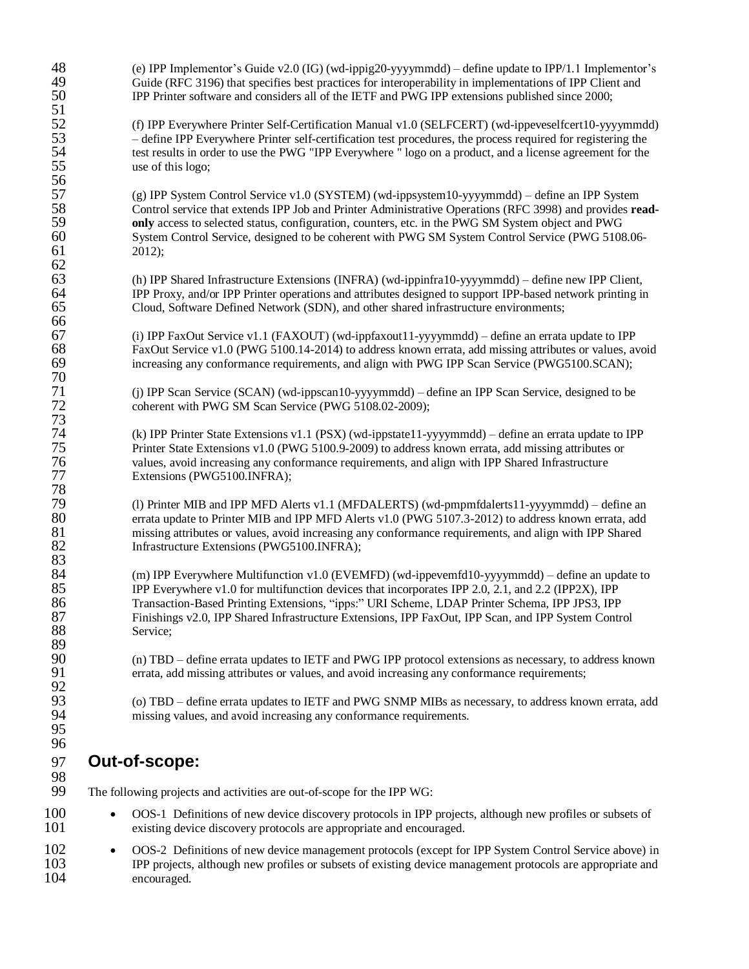| 48<br>49     | (e) IPP Implementor's Guide v2.0 (IG) (wd-ippig20-yyyymmdd) – define update to IPP/1.1 Implementor's<br>Guide (RFC 3196) that specifies best practices for interoperability in implementations of IPP Client and                 |  |
|--------------|----------------------------------------------------------------------------------------------------------------------------------------------------------------------------------------------------------------------------------|--|
| 50<br>51     | IPP Printer software and considers all of the IETF and PWG IPP extensions published since 2000;                                                                                                                                  |  |
| 52           | (f) IPP Everywhere Printer Self-Certification Manual v1.0 (SELFCERT) (wd-ippeveselfcert10-yyyymmdd)                                                                                                                              |  |
| 53           | - define IPP Everywhere Printer self-certification test procedures, the process required for registering the                                                                                                                     |  |
| 54<br>55     | test results in order to use the PWG "IPP Everywhere " logo on a product, and a license agreement for the<br>use of this logo;                                                                                                   |  |
| 56           |                                                                                                                                                                                                                                  |  |
| 57           | (g) IPP System Control Service v1.0 (SYSTEM) (wd-ippsystem10-yyyymmdd) – define an IPP System                                                                                                                                    |  |
| 58           | Control service that extends IPP Job and Printer Administrative Operations (RFC 3998) and provides read-                                                                                                                         |  |
| 59<br>60     | only access to selected status, configuration, counters, etc. in the PWG SM System object and PWG                                                                                                                                |  |
| 61           | System Control Service, designed to be coherent with PWG SM System Control Service (PWG 5108.06-<br>2012);                                                                                                                       |  |
| 62           |                                                                                                                                                                                                                                  |  |
| 63           | (h) IPP Shared Infrastructure Extensions (INFRA) (wd-ippinfra10-yyyymmdd) – define new IPP Client,                                                                                                                               |  |
| 64           | IPP Proxy, and/or IPP Printer operations and attributes designed to support IPP-based network printing in                                                                                                                        |  |
| 65<br>66     | Cloud, Software Defined Network (SDN), and other shared infrastructure environments;                                                                                                                                             |  |
| 67           | (i) IPP FaxOut Service v1.1 (FAXOUT) (wd-ippfaxout11-yyyymmdd) – define an errata update to IPP                                                                                                                                  |  |
| 68           | FaxOut Service v1.0 (PWG 5100.14-2014) to address known errata, add missing attributes or values, avoid                                                                                                                          |  |
| 69           | increasing any conformance requirements, and align with PWG IPP Scan Service (PWG5100.SCAN);                                                                                                                                     |  |
| 70           |                                                                                                                                                                                                                                  |  |
| 71<br>72     | (j) IPP Scan Service (SCAN) (wd-ippscan10-yyyymmdd) – define an IPP Scan Service, designed to be<br>coherent with PWG SM Scan Service (PWG 5108.02-2009);                                                                        |  |
| 73           |                                                                                                                                                                                                                                  |  |
| 74           | (k) IPP Printer State Extensions v1.1 (PSX) (wd-ippstate11-yyyymmdd) – define an errata update to IPP                                                                                                                            |  |
| 75           | Printer State Extensions v1.0 (PWG 5100.9-2009) to address known errata, add missing attributes or                                                                                                                               |  |
| 76<br>$77\,$ | values, avoid increasing any conformance requirements, and align with IPP Shared Infrastructure                                                                                                                                  |  |
| 78           | Extensions (PWG5100.INFRA);                                                                                                                                                                                                      |  |
| 79           | (l) Printer MIB and IPP MFD Alerts v1.1 (MFDALERTS) (wd-pmpmfdalerts11-yyyymmdd) – define an                                                                                                                                     |  |
| 80           | errata update to Printer MIB and IPP MFD Alerts v1.0 (PWG 5107.3-2012) to address known errata, add                                                                                                                              |  |
| 81           | missing attributes or values, avoid increasing any conformance requirements, and align with IPP Shared                                                                                                                           |  |
| 82<br>83     | Infrastructure Extensions (PWG5100.INFRA);                                                                                                                                                                                       |  |
| 84           | (m) IPP Everywhere Multifunction v1.0 (EVEMFD) (wd-ippevemfd10-yyyymmdd) - define an update to                                                                                                                                   |  |
| 85           | IPP Everywhere v1.0 for multifunction devices that incorporates IPP 2.0, 2.1, and 2.2 (IPP2X), IPP                                                                                                                               |  |
| 86           | Transaction-Based Printing Extensions, "ipps:" URI Scheme, LDAP Printer Schema, IPP JPS3, IPP                                                                                                                                    |  |
| 87<br>88     | Finishings v2.0, IPP Shared Infrastructure Extensions, IPP FaxOut, IPP Scan, and IPP System Control                                                                                                                              |  |
| 89           | Service;                                                                                                                                                                                                                         |  |
| 90           | (n) TBD – define errata updates to IETF and PWG IPP protocol extensions as necessary, to address known                                                                                                                           |  |
| 91           | errata, add missing attributes or values, and avoid increasing any conformance requirements;                                                                                                                                     |  |
| 92<br>93     |                                                                                                                                                                                                                                  |  |
| 94           | (o) TBD – define errata updates to IETF and PWG SNMP MIBs as necessary, to address known errata, add<br>missing values, and avoid increasing any conformance requirements.                                                       |  |
| 95           |                                                                                                                                                                                                                                  |  |
| 96           |                                                                                                                                                                                                                                  |  |
| 97           | Out-of-scope:                                                                                                                                                                                                                    |  |
| 98<br>99     | The following projects and activities are out-of-scope for the IPP WG:                                                                                                                                                           |  |
| 100          | OOS-1 Definitions of new device discovery protocols in IPP projects, although new profiles or subsets of<br>$\bullet$                                                                                                            |  |
| 101          | existing device discovery protocols are appropriate and encouraged.                                                                                                                                                              |  |
| 102<br>103   | OOS-2 Definitions of new device management protocols (except for IPP System Control Service above) in<br>$\bullet$<br>IPP projects, although new profiles or subsets of existing device management protocols are appropriate and |  |

encouraged.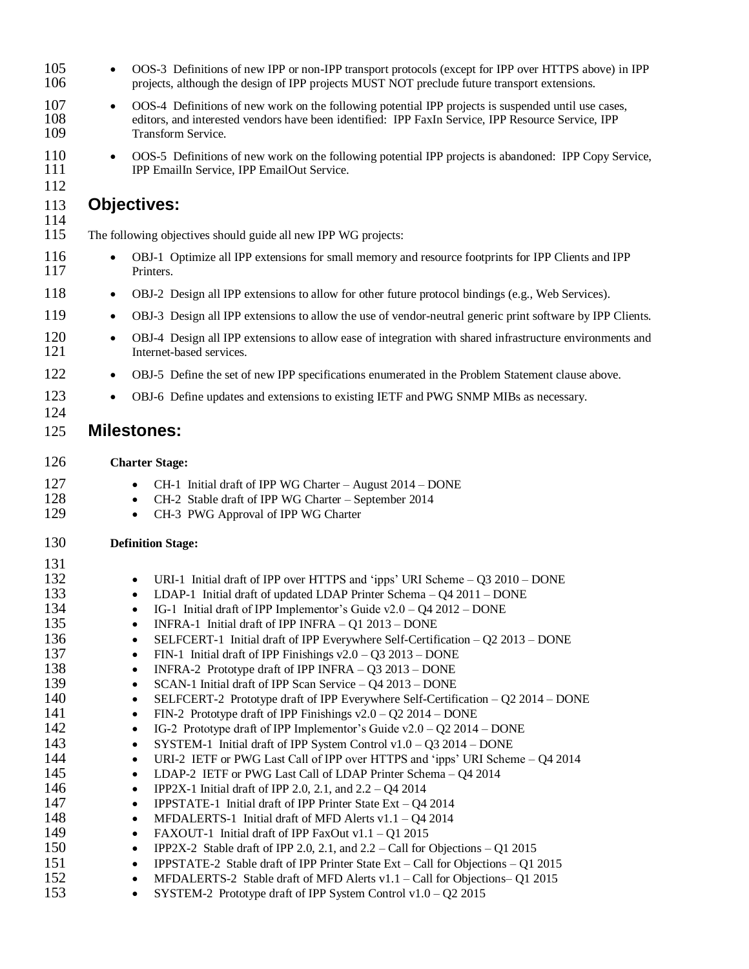| 105<br>106        | $\bullet$ | OOS-3 Definitions of new IPP or non-IPP transport protocols (except for IPP over HTTPS above) in IPP<br>projects, although the design of IPP projects MUST NOT preclude future transport extensions.                            |
|-------------------|-----------|---------------------------------------------------------------------------------------------------------------------------------------------------------------------------------------------------------------------------------|
| 107<br>108<br>109 | $\bullet$ | OOS-4 Definitions of new work on the following potential IPP projects is suspended until use cases,<br>editors, and interested vendors have been identified: IPP FaxIn Service, IPP Resource Service, IPP<br>Transform Service. |
| 110<br>111<br>112 | $\bullet$ | OOS-5 Definitions of new work on the following potential IPP projects is abandoned: IPP Copy Service,<br>IPP EmailIn Service, IPP EmailOut Service.                                                                             |
| 113<br>114        |           | <b>Objectives:</b>                                                                                                                                                                                                              |
| 115               |           | The following objectives should guide all new IPP WG projects:                                                                                                                                                                  |
| 116<br>117        | $\bullet$ | OBJ-1 Optimize all IPP extensions for small memory and resource footprints for IPP Clients and IPP<br>Printers.                                                                                                                 |
| 118               | $\bullet$ | OBJ-2 Design all IPP extensions to allow for other future protocol bindings (e.g., Web Services).                                                                                                                               |
| 119               | $\bullet$ | OBJ-3 Design all IPP extensions to allow the use of vendor-neutral generic print software by IPP Clients.                                                                                                                       |
| 120<br>121        | $\bullet$ | OBJ-4 Design all IPP extensions to allow ease of integration with shared infrastructure environments and<br>Internet-based services.                                                                                            |
| 122               | $\bullet$ | OBJ-5 Define the set of new IPP specifications enumerated in the Problem Statement clause above.                                                                                                                                |
| 123<br>124        | $\bullet$ | OBJ-6 Define updates and extensions to existing IETF and PWG SNMP MIBs as necessary.                                                                                                                                            |
| 125               |           | <b>Milestones:</b>                                                                                                                                                                                                              |
| 126               |           | <b>Charter Stage:</b>                                                                                                                                                                                                           |
| 127               |           | CH-1 Initial draft of IPP WG Charter - August 2014 - DONE                                                                                                                                                                       |
| 128               |           | CH-2 Stable draft of IPP WG Charter - September 2014                                                                                                                                                                            |
| 129               |           | CH-3 PWG Approval of IPP WG Charter<br>٠                                                                                                                                                                                        |
| 130               |           | <b>Definition Stage:</b>                                                                                                                                                                                                        |
| 131               |           |                                                                                                                                                                                                                                 |
| 132               |           | URI-1 Initial draft of IPP over HTTPS and 'ipps' URI Scheme $- Q3 2010 - DONE$                                                                                                                                                  |
| 133               |           | LDAP-1 Initial draft of updated LDAP Printer Schema $- Q4 2011 - DONE$                                                                                                                                                          |
| 134               |           | IG-1 Initial draft of IPP Implementor's Guide v2.0 - Q4 2012 - DONE                                                                                                                                                             |
| 135               |           | INFRA-1 Initial draft of IPP INFRA - Q1 2013 - DONE<br>$\bullet$                                                                                                                                                                |
| 136               |           | SELFCERT-1 Initial draft of IPP Everywhere Self-Certification $-$ Q2 2013 – DONE<br>$\bullet$                                                                                                                                   |
| 137               |           | FIN-1 Initial draft of IPP Finishings $v2.0 - Q32013 - DONE$<br>٠                                                                                                                                                               |
| 138<br>139        |           | INFRA-2 Prototype draft of IPP INFRA - Q3 2013 - DONE<br>٠                                                                                                                                                                      |
| 140               |           | SCAN-1 Initial draft of IPP Scan Service - Q4 2013 - DONE<br>٠<br>SELFCERT-2 Prototype draft of IPP Everywhere Self-Certification – Q2 2014 – DONE<br>$\bullet$                                                                 |
| 141               |           | FIN-2 Prototype draft of IPP Finishings $v2.0 - Q22014 - DONE$<br>$\bullet$                                                                                                                                                     |
| 142               |           | IG-2 Prototype draft of IPP Implementor's Guide $v2.0 - Q22014 - DONE$<br>$\bullet$                                                                                                                                             |
| 143               |           | SYSTEM-1 Initial draft of IPP System Control v1.0 - Q3 2014 - DONE<br>٠                                                                                                                                                         |
| 144               |           | URI-2 IETF or PWG Last Call of IPP over HTTPS and 'ipps' URI Scheme - Q4 2014<br>٠                                                                                                                                              |
| 145               |           | LDAP-2 IETF or PWG Last Call of LDAP Printer Schema - Q4 2014<br>٠                                                                                                                                                              |
| 146               |           | IPP2X-1 Initial draft of IPP 2.0, 2.1, and $2.2 - Q4 2014$<br>$\bullet$                                                                                                                                                         |
| 147               |           | <b>IPPSTATE-1</b> Initial draft of IPP Printer State Ext $-Q4\ 2014$<br>$\bullet$                                                                                                                                               |
| 148               |           | MFDALERTS-1 Initial draft of MFD Alerts v1.1 - Q4 2014<br>$\bullet$                                                                                                                                                             |
| 149               |           | FAXOUT-1 Initial draft of IPP FaxOut v1.1 - Q1 2015<br>$\bullet$                                                                                                                                                                |
| 150               |           | IPP2X-2 Stable draft of IPP 2.0, 2.1, and $2.2 -$ Call for Objections $-$ Q1 2015<br>$\bullet$                                                                                                                                  |
| 151               |           | <b>IPPSTATE-2</b> Stable draft of IPP Printer State Ext – Call for Objections – Q1 2015<br>٠                                                                                                                                    |
| 152               |           | MFDALERTS-2 Stable draft of MFD Alerts v1.1 - Call for Objections- Q1 2015<br>$\bullet$                                                                                                                                         |
| 153               |           | SYSTEM-2 Prototype draft of IPP System Control v1.0 - Q2 2015<br>٠                                                                                                                                                              |